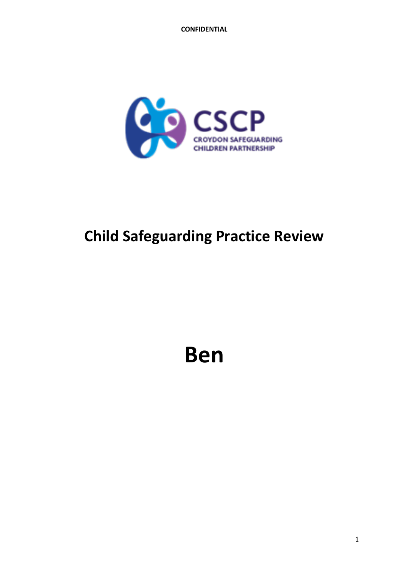

# **Child Safeguarding Practice Review**

**Ben**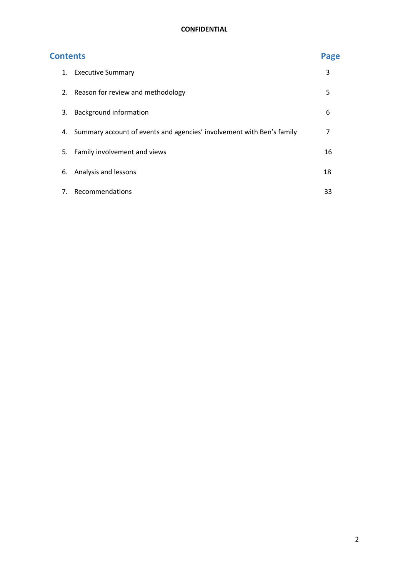| <b>Contents</b> |                                                                          | Page |
|-----------------|--------------------------------------------------------------------------|------|
|                 | 1. Executive Summary                                                     | 3    |
|                 | 2. Reason for review and methodology                                     | 5    |
| 3.              | <b>Background information</b>                                            | 6    |
|                 | 4. Summary account of events and agencies' involvement with Ben's family | 7    |
|                 | 5. Family involvement and views                                          | 16   |
| 6.              | Analysis and lessons                                                     | 18   |
| 7.              | Recommendations                                                          | 33   |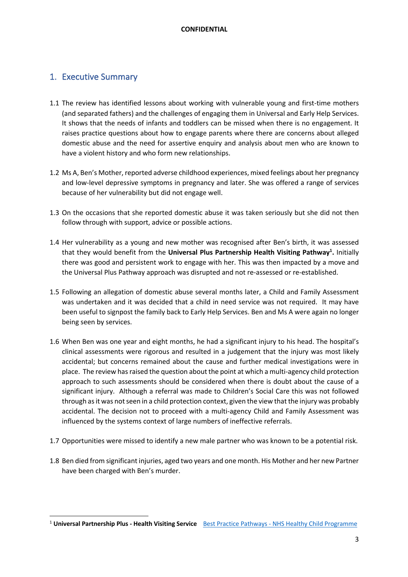## 1. Executive Summary

- 1.1 The review has identified lessons about working with vulnerable young and first-time mothers (and separated fathers) and the challenges of engaging them in Universal and Early Help Services. It shows that the needs of infants and toddlers can be missed when there is no engagement. It raises practice questions about how to engage parents where there are concerns about alleged domestic abuse and the need for assertive enquiry and analysis about men who are known to have a violent history and who form new relationships.
- 1.2 Ms A, Ben's Mother, reported adverse childhood experiences, mixed feelings about her pregnancy and low-level depressive symptoms in pregnancy and later. She was offered a range of services because of her vulnerability but did not engage well.
- 1.3 On the occasions that she reported domestic abuse it was taken seriously but she did not then follow through with support, advice or possible actions.
- 1.4 Her vulnerability as a young and new mother was recognised after Ben's birth, it was assessed that they would benefit from the Universal Plus Partnership Health Visiting Pathway<sup>1</sup>. Initially there was good and persistent work to engage with her. This was then impacted by a move and the Universal Plus Pathway approach was disrupted and not re-assessed or re-established.
- 1.5 Following an allegation of domestic abuse several months later, a Child and Family Assessment was undertaken and it was decided that a child in need service was not required. It may have been useful to signpost the family back to Early Help Services. Ben and Ms A were again no longer being seen by services.
- 1.6 When Ben was one year and eight months, he had a significant injury to his head. The hospital's clinical assessments were rigorous and resulted in a judgement that the injury was most likely accidental; but concerns remained about the cause and further medical investigations were in place. The review has raised the question about the point at which a multi-agency child protection approach to such assessments should be considered when there is doubt about the cause of a significant injury. Although a referral was made to Children's Social Care this was not followed through as it was not seen in a child protection context, given the view that the injury was probably accidental. The decision not to proceed with a multi-agency Child and Family Assessment was influenced by the systems context of large numbers of ineffective referrals.
- 1.7 Opportunities were missed to identify a new male partner who was known to be a potential risk.
- 1.8 Ben died from significant injuries, aged two years and one month. His Mother and her new Partner have been charged with Ben's murder.

<sup>1</sup> **Universal Partnership Plus - Health Visiting Service** Best Practice Pathways - NHS Healthy Child Programme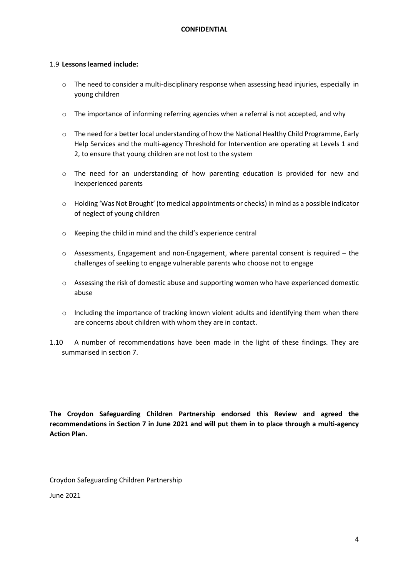## 1.9 **Lessons learned include:**

- o The need to consider a multi-disciplinary response when assessing head injuries, especially in young children
- $\circ$  The importance of informing referring agencies when a referral is not accepted, and why
- o The need for a better local understanding of how the National Healthy Child Programme, Early Help Services and the multi-agency Threshold for Intervention are operating at Levels 1 and 2, to ensure that young children are not lost to the system
- o The need for an understanding of how parenting education is provided for new and inexperienced parents
- o Holding 'Was Not Brought' (to medical appointments or checks) in mind as a possible indicator of neglect of young children
- o Keeping the child in mind and the child's experience central
- $\circ$  Assessments, Engagement and non-Engagement, where parental consent is required the challenges of seeking to engage vulnerable parents who choose not to engage
- o Assessing the risk of domestic abuse and supporting women who have experienced domestic abuse
- $\circ$  Including the importance of tracking known violent adults and identifying them when there are concerns about children with whom they are in contact.
- 1.10 A number of recommendations have been made in the light of these findings. They are summarised in section 7.

**The Croydon Safeguarding Children Partnership endorsed this Review and agreed the recommendations in Section 7 in June 2021 and will put them in to place through a multi-agency Action Plan.** 

Croydon Safeguarding Children Partnership

June 2021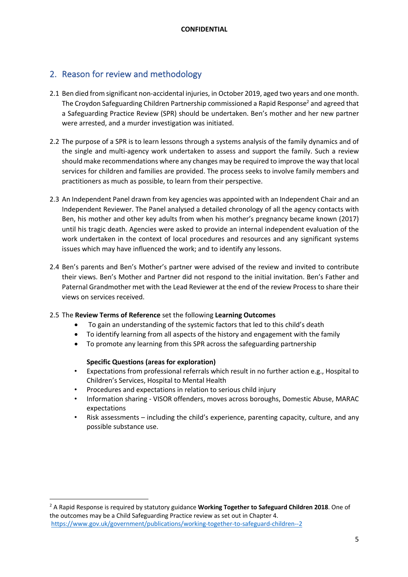## 2. Reason for review and methodology

- 2.1 Ben died from significant non-accidental injuries, in October 2019, aged two years and one month. The Croydon Safeguarding Children Partnership commissioned a Rapid Response<sup>2</sup> and agreed that a Safeguarding Practice Review (SPR) should be undertaken. Ben's mother and her new partner were arrested, and a murder investigation was initiated.
- 2.2 The purpose of a SPR is to learn lessons through a systems analysis of the family dynamics and of the single and multi-agency work undertaken to assess and support the family. Such a review should make recommendations where any changes may be required to improve the way that local services for children and families are provided. The process seeks to involve family members and practitioners as much as possible, to learn from their perspective.
- 2.3 An Independent Panel drawn from key agencies was appointed with an Independent Chair and an Independent Reviewer. The Panel analysed a detailed chronology of all the agency contacts with Ben, his mother and other key adults from when his mother's pregnancy became known (2017) until his tragic death. Agencies were asked to provide an internal independent evaluation of the work undertaken in the context of local procedures and resources and any significant systems issues which may have influenced the work; and to identify any lessons.
- 2.4 Ben's parents and Ben's Mother's partner were advised of the review and invited to contribute their views. Ben's Mother and Partner did not respond to the initial invitation. Ben's Father and Paternal Grandmother met with the Lead Reviewer at the end of the review Process to share their views on services received.
- 2.5 The **Review Terms of Reference** set the following **Learning Outcomes**
	- To gain an understanding of the systemic factors that led to this child's death
	- To identify learning from all aspects of the history and engagement with the family
	- To promote any learning from this SPR across the safeguarding partnership

## **Specific Questions (areas for exploration)**

- Expectations from professional referrals which result in no further action e.g., Hospital to Children's Services, Hospital to Mental Health
- Procedures and expectations in relation to serious child injury
- Information sharing VISOR offenders, moves across boroughs, Domestic Abuse, MARAC expectations
- Risk assessments including the child's experience, parenting capacity, culture, and any possible substance use.

<sup>2</sup> A Rapid Response is required by statutory guidance **Working Together to Safeguard Children 2018**. One of the outcomes may be a Child Safeguarding Practice review as set out in Chapter 4. https://www.gov.uk/government/publications/working-together-to-safeguard-children--2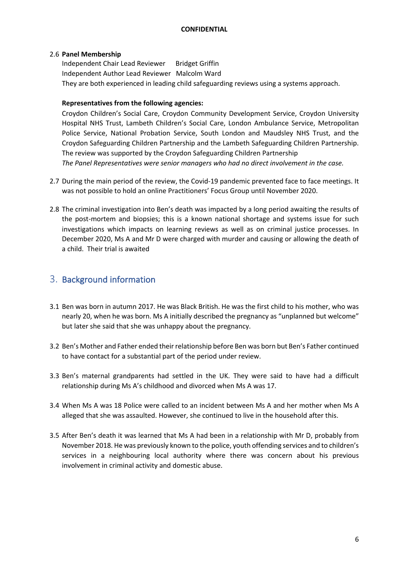## 2.6 **Panel Membership**

Independent Chair Lead Reviewer Bridget Griffin Independent Author Lead Reviewer Malcolm Ward They are both experienced in leading child safeguarding reviews using a systems approach.

## **Representatives from the following agencies:**

Croydon Children's Social Care, Croydon Community Development Service, Croydon University Hospital NHS Trust, Lambeth Children's Social Care, London Ambulance Service, Metropolitan Police Service, National Probation Service, South London and Maudsley NHS Trust, and the Croydon Safeguarding Children Partnership and the Lambeth Safeguarding Children Partnership. The review was supported by the Croydon Safeguarding Children Partnership *The Panel Representatives were senior managers who had no direct involvement in the case.*

- 2.7 During the main period of the review, the Covid-19 pandemic prevented face to face meetings. It was not possible to hold an online Practitioners' Focus Group until November 2020.
- 2.8 The criminal investigation into Ben's death was impacted by a long period awaiting the results of the post-mortem and biopsies; this is a known national shortage and systems issue for such investigations which impacts on learning reviews as well as on criminal justice processes. In December 2020, Ms A and Mr D were charged with murder and causing or allowing the death of a child. Their trial is awaited

## 3. Background information

- 3.1 Ben was born in autumn 2017. He was Black British. He was the first child to his mother, who was nearly 20, when he was born. Ms A initially described the pregnancy as "unplanned but welcome" but later she said that she was unhappy about the pregnancy.
- 3.2 Ben's Mother and Father ended their relationship before Ben was born but Ben's Father continued to have contact for a substantial part of the period under review.
- 3.3 Ben's maternal grandparents had settled in the UK. They were said to have had a difficult relationship during Ms A's childhood and divorced when Ms A was 17.
- 3.4 When Ms A was 18 Police were called to an incident between Ms A and her mother when Ms A alleged that she was assaulted. However, she continued to live in the household after this.
- 3.5 After Ben's death it was learned that Ms A had been in a relationship with Mr D, probably from November 2018. He was previously known to the police, youth offending services and to children's services in a neighbouring local authority where there was concern about his previous involvement in criminal activity and domestic abuse.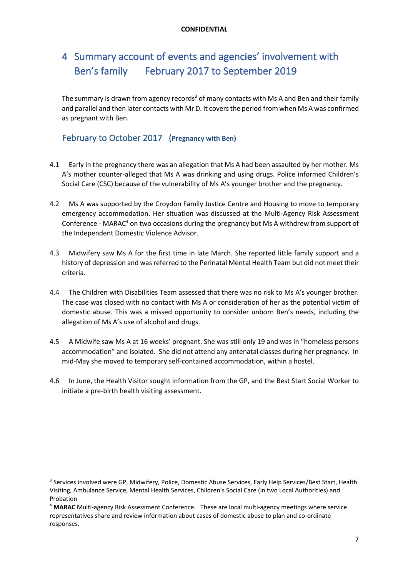## 4 Summary account of events and agencies' involvement with Ben's family February 2017 to September 2019

The summary is drawn from agency records<sup>3</sup> of many contacts with Ms A and Ben and their family and parallel and then later contacts with Mr D. It covers the period from when Ms A was confirmed as pregnant with Ben.

## February to October 2017 (**Pregnancy with Ben)**

- 4.1 Early in the pregnancy there was an allegation that Ms A had been assaulted by her mother. Ms A's mother counter-alleged that Ms A was drinking and using drugs. Police informed Children's Social Care (CSC) because of the vulnerability of Ms A's younger brother and the pregnancy.
- 4.2 Ms A was supported by the Croydon Family Justice Centre and Housing to move to temporary emergency accommodation. Her situation was discussed at the Multi-Agency Risk Assessment Conference - MARAC<sup>4</sup> on two occasions during the pregnancy but Ms A withdrew from support of the Independent Domestic Violence Advisor.
- 4.3 Midwifery saw Ms A for the first time in late March. She reported little family support and a history of depression and was referred to the Perinatal Mental Health Team but did not meet their criteria.
- 4.4 The Children with Disabilities Team assessed that there was no risk to Ms A's younger brother. The case was closed with no contact with Ms A or consideration of her as the potential victim of domestic abuse. This was a missed opportunity to consider unborn Ben's needs, including the allegation of Ms A's use of alcohol and drugs.
- 4.5 A Midwife saw Ms A at 16 weeks' pregnant. She was still only 19 and was in "homeless persons accommodation" and isolated. She did not attend any antenatal classes during her pregnancy. In mid-May she moved to temporary self-contained accommodation, within a hostel.
- 4.6 In June, the Health Visitor sought information from the GP, and the Best Start Social Worker to initiate a pre-birth health visiting assessment.

<sup>&</sup>lt;sup>3</sup> Services involved were GP, Midwifery, Police, Domestic Abuse Services, Early Help Services/Best Start, Health Visiting, Ambulance Service, Mental Health Services, Children's Social Care (in two Local Authorities) and Probation

<sup>4</sup> **MARAC** Multi-agency Risk Assessment Conference. These are local multi-agency meetings where service representatives share and review information about cases of domestic abuse to plan and co-ordinate responses.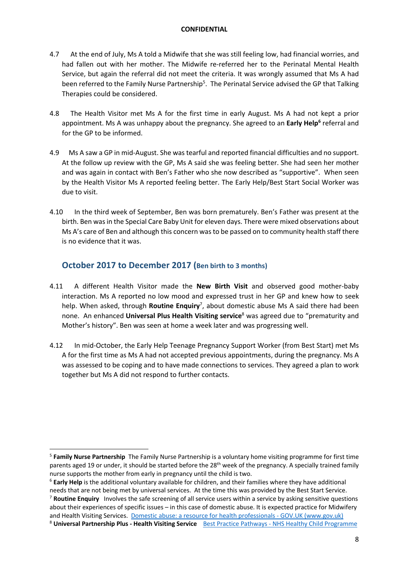- 4.7 At the end of July, Ms A told a Midwife that she was still feeling low, had financial worries, and had fallen out with her mother. The Midwife re-referred her to the Perinatal Mental Health Service, but again the referral did not meet the criteria. It was wrongly assumed that Ms A had been referred to the Family Nurse Partnership<sup>5</sup>. The Perinatal Service advised the GP that Talking Therapies could be considered.
- 4.8 The Health Visitor met Ms A for the first time in early August. Ms A had not kept a prior appointment. Ms A was unhappy about the pregnancy. She agreed to an Early Help<sup>6</sup> referral and for the GP to be informed.
- 4.9 Ms A saw a GP in mid-August. She was tearful and reported financial difficulties and no support. At the follow up review with the GP, Ms A said she was feeling better. She had seen her mother and was again in contact with Ben's Father who she now described as "supportive". When seen by the Health Visitor Ms A reported feeling better. The Early Help/Best Start Social Worker was due to visit.
- 4.10 In the third week of September, Ben was born prematurely. Ben's Father was present at the birth. Ben was in the Special Care Baby Unit for eleven days. There were mixed observations about Ms A's care of Ben and although this concern was to be passed on to community health staff there is no evidence that it was.

## **October 2017 to December 2017 (Ben birth to 3 months)**

- 4.11 A different Health Visitor made the **New Birth Visit** and observed good mother-baby interaction. Ms A reported no low mood and expressed trust in her GP and knew how to seek help. When asked, through **Routine Enquiry**<sup>7</sup> , about domestic abuse Ms A said there had been none. An enhanced **Universal Plus Health Visiting service**<sup>8</sup> was agreed due to "prematurity and Mother's history". Ben was seen at home a week later and was progressing well.
- 4.12 In mid-October, the Early Help Teenage Pregnancy Support Worker (from Best Start) met Ms A for the first time as Ms A had not accepted previous appointments, during the pregnancy. Ms A was assessed to be coping and to have made connections to services. They agreed a plan to work together but Ms A did not respond to further contacts.

<sup>5</sup> **Family Nurse Partnership** The Family Nurse Partnership is a voluntary home visiting programme for first time parents aged 19 or under, it should be started before the 28<sup>th</sup> week of the pregnancy. A specially trained family nurse supports the mother from early in pregnancy until the child is two.

<sup>6</sup> **Early Help** is the additional voluntary available for children, and their families where they have additional needs that are not being met by universal services. At the time this was provided by the Best Start Service.

<sup>7</sup> **Routine Enquiry** Involves the safe screening of all service users within a service by asking sensitive questions about their experiences of specific issues – in this case of domestic abuse. It is expected practice for Midwifery and Health Visiting Services. Domestic abuse: a resource for health professionals - GOV.UK (www.gov.uk)

<sup>8</sup> **Universal Partnership Plus - Health Visiting Service** Best Practice Pathways - NHS Healthy Child Programme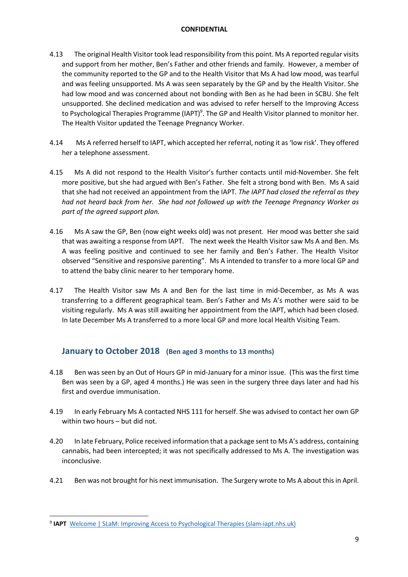- 4.13 The original Health Visitor took lead responsibility from this point. Ms A reported regular visits and support from her mother, Ben's Father and other friends and family. However, a member of the community reported to the GP and to the Health Visitor that Ms A had low mood, was tearful and was feeling unsupported. Ms A was seen separately by the GP and by the Health Visitor. She had low mood and was concerned about not bonding with Ben as he had been in SCBU. She felt unsupported. She declined medication and was advised to refer herself to the Improving Access to Psychological Therapies Programme (IAPT)<sup>9</sup>. The GP and Health Visitor planned to monitor her. The Health Visitor updated the Teenage Pregnancy Worker.
- 4.14 Ms A referred herself to IAPT, which accepted her referral, noting it as 'low risk'. They offered her a telephone assessment.
- 4.15 Ms A did not respond to the Health Visitor's further contacts until mid-November. She felt more positive, but she had argued with Ben's Father. She felt a strong bond with Ben. Ms A said that she had not received an appointment from the IAPT. *The IAPT had closed the referral as they had not heard back from her. She had not followed up with the Teenage Pregnancy Worker as part of the agreed support plan.*
- 4.16 Ms A saw the GP, Ben (now eight weeks old) was not present. Her mood was better she said that was awaiting a response from IAPT. The next week the Health Visitor saw Ms A and Ben. Ms A was feeling positive and continued to see her family and Ben's Father. The Health Visitor observed "Sensitive and responsive parenting". Ms A intended to transfer to a more local GP and to attend the baby clinic nearer to her temporary home.
- 4.17 The Health Visitor saw Ms A and Ben for the last time in mid-December, as Ms A was transferring to a different geographical team. Ben's Father and Ms A's mother were said to be visiting regularly. Ms A was still awaiting her appointment from the IAPT, which had been closed. In late December Ms A transferred to a more local GP and more local Health Visiting Team.

## **January to October 2018 (Ben aged 3 months to 13 months)**

- 4.18 Ben was seen by an Out of Hours GP in mid-January for a minor issue. (This was the first time Ben was seen by a GP, aged 4 months.) He was seen in the surgery three days later and had his first and overdue immunisation.
- 4.19 In early February Ms A contacted NHS 111 for herself. She was advised to contact her own GP within two hours – but did not.
- 4.20 In late February, Police received information that a package sent to Ms A's address, containing cannabis, had been intercepted; it was not specifically addressed to Ms A. The investigation was inconclusive.
- 4.21 Ben was not brought for his next immunisation. The Surgery wrote to Ms A about this in April.

<sup>&</sup>lt;sup>9</sup> IAPT Welcome | SLaM: Improving Access to Psychological Therapies (slam-iapt.nhs.uk)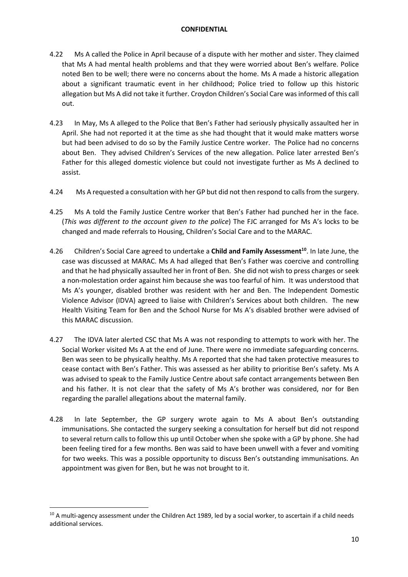- 4.22 Ms A called the Police in April because of a dispute with her mother and sister. They claimed that Ms A had mental health problems and that they were worried about Ben's welfare. Police noted Ben to be well; there were no concerns about the home. Ms A made a historic allegation about a significant traumatic event in her childhood; Police tried to follow up this historic allegation but Ms A did not take it further. Croydon Children's Social Care was informed of this call out.
- 4.23 In May, Ms A alleged to the Police that Ben's Father had seriously physically assaulted her in April. She had not reported it at the time as she had thought that it would make matters worse but had been advised to do so by the Family Justice Centre worker. The Police had no concerns about Ben. They advised Children's Services of the new allegation. Police later arrested Ben's Father for this alleged domestic violence but could not investigate further as Ms A declined to assist.
- 4.24 Ms A requested a consultation with her GP but did not then respond to calls from the surgery.
- 4.25 Ms A told the Family Justice Centre worker that Ben's Father had punched her in the face. (*This was different to the account given to the police*) The FJC arranged for Ms A's locks to be changed and made referrals to Housing, Children's Social Care and to the MARAC.
- 4.26 Children's Social Care agreed to undertake a **Child and Family Assessment<sup>10</sup>**. In late June, the case was discussed at MARAC. Ms A had alleged that Ben's Father was coercive and controlling and that he had physically assaulted her in front of Ben. She did not wish to press charges or seek a non-molestation order against him because she was too fearful of him. It was understood that Ms A's younger, disabled brother was resident with her and Ben. The Independent Domestic Violence Advisor (IDVA) agreed to liaise with Children's Services about both children. The new Health Visiting Team for Ben and the School Nurse for Ms A's disabled brother were advised of this MARAC discussion.
- 4.27 The IDVA later alerted CSC that Ms A was not responding to attempts to work with her. The Social Worker visited Ms A at the end of June. There were no immediate safeguarding concerns. Ben was seen to be physically healthy. Ms A reported that she had taken protective measures to cease contact with Ben's Father. This was assessed as her ability to prioritise Ben's safety. Ms A was advised to speak to the Family Justice Centre about safe contact arrangements between Ben and his father. It is not clear that the safety of Ms A's brother was considered, nor for Ben regarding the parallel allegations about the maternal family.
- 4.28 In late September, the GP surgery wrote again to Ms A about Ben's outstanding immunisations. She contacted the surgery seeking a consultation for herself but did not respond to several return calls to follow this up until October when she spoke with a GP by phone. She had been feeling tired for a few months. Ben was said to have been unwell with a fever and vomiting for two weeks. This was a possible opportunity to discuss Ben's outstanding immunisations. An appointment was given for Ben, but he was not brought to it.

<sup>&</sup>lt;sup>10</sup> A multi-agency assessment under the Children Act 1989, led by a social worker, to ascertain if a child needs additional services.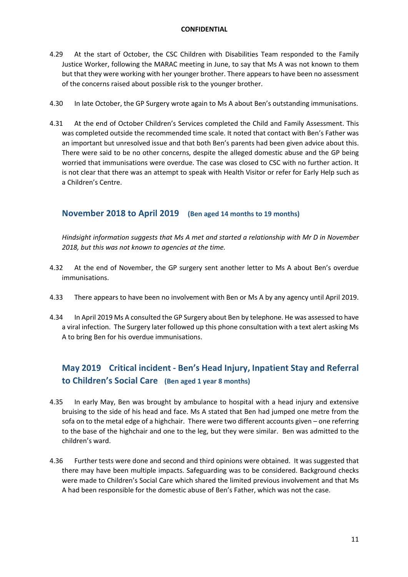- 4.29 At the start of October, the CSC Children with Disabilities Team responded to the Family Justice Worker, following the MARAC meeting in June, to say that Ms A was not known to them but that they were working with her younger brother. There appears to have been no assessment of the concerns raised about possible risk to the younger brother.
- 4.30 In late October, the GP Surgery wrote again to Ms A about Ben's outstanding immunisations.
- 4.31 At the end of October Children's Services completed the Child and Family Assessment. This was completed outside the recommended time scale. It noted that contact with Ben's Father was an important but unresolved issue and that both Ben's parents had been given advice about this. There were said to be no other concerns, despite the alleged domestic abuse and the GP being worried that immunisations were overdue. The case was closed to CSC with no further action. It is not clear that there was an attempt to speak with Health Visitor or refer for Early Help such as a Children's Centre.

## **November 2018 to April 2019 (Ben aged 14 months to 19 months)**

*Hindsight information suggests that Ms A met and started a relationship with Mr D in November 2018, but this was not known to agencies at the time.* 

- 4.32 At the end of November, the GP surgery sent another letter to Ms A about Ben's overdue immunisations.
- 4.33 There appears to have been no involvement with Ben or Ms A by any agency until April 2019.
- 4.34 In April 2019 Ms A consulted the GP Surgery about Ben by telephone. He was assessed to have a viral infection. The Surgery later followed up this phone consultation with a text alert asking Ms A to bring Ben for his overdue immunisations.

## **May 2019 Critical incident - Ben's Head Injury, Inpatient Stay and Referral to Children's Social Care (Ben aged 1 year 8 months)**

- 4.35 In early May, Ben was brought by ambulance to hospital with a head injury and extensive bruising to the side of his head and face. Ms A stated that Ben had jumped one metre from the sofa on to the metal edge of a highchair. There were two different accounts given – one referring to the base of the highchair and one to the leg, but they were similar. Ben was admitted to the children's ward.
- 4.36 Further tests were done and second and third opinions were obtained. It was suggested that there may have been multiple impacts. Safeguarding was to be considered. Background checks were made to Children's Social Care which shared the limited previous involvement and that Ms A had been responsible for the domestic abuse of Ben's Father, which was not the case.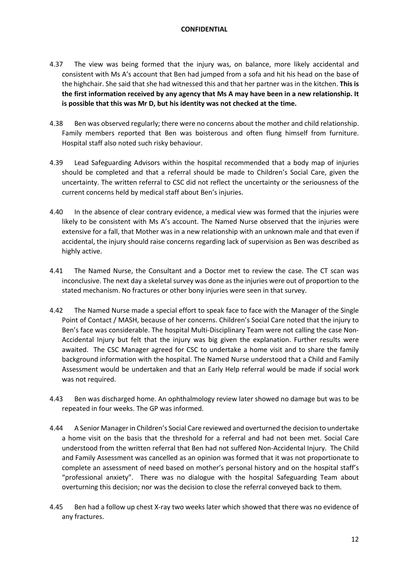- 4.37 The view was being formed that the injury was, on balance, more likely accidental and consistent with Ms A's account that Ben had jumped from a sofa and hit his head on the base of the highchair. She said that she had witnessed this and that her partner was in the kitchen. **This is the first information received by any agency that Ms A may have been in a new relationship. It is possible that this was Mr D, but his identity was not checked at the time.**
- 4.38 Ben was observed regularly; there were no concerns about the mother and child relationship. Family members reported that Ben was boisterous and often flung himself from furniture. Hospital staff also noted such risky behaviour.
- 4.39 Lead Safeguarding Advisors within the hospital recommended that a body map of injuries should be completed and that a referral should be made to Children's Social Care, given the uncertainty. The written referral to CSC did not reflect the uncertainty or the seriousness of the current concerns held by medical staff about Ben's injuries.
- 4.40 In the absence of clear contrary evidence, a medical view was formed that the injuries were likely to be consistent with Ms A's account. The Named Nurse observed that the injuries were extensive for a fall, that Mother was in a new relationship with an unknown male and that even if accidental, the injury should raise concerns regarding lack of supervision as Ben was described as highly active.
- 4.41 The Named Nurse, the Consultant and a Doctor met to review the case. The CT scan was inconclusive. The next day a skeletal survey was done as the injuries were out of proportion to the stated mechanism. No fractures or other bony injuries were seen in that survey.
- 4.42 The Named Nurse made a special effort to speak face to face with the Manager of the Single Point of Contact / MASH, because of her concerns. Children's Social Care noted that the injury to Ben's face was considerable. The hospital Multi-Disciplinary Team were not calling the case Non-Accidental Injury but felt that the injury was big given the explanation. Further results were awaited. The CSC Manager agreed for CSC to undertake a home visit and to share the family background information with the hospital. The Named Nurse understood that a Child and Family Assessment would be undertaken and that an Early Help referral would be made if social work was not required.
- 4.43 Ben was discharged home. An ophthalmology review later showed no damage but was to be repeated in four weeks. The GP was informed.
- 4.44 A Senior Manager in Children's Social Care reviewed and overturned the decision to undertake a home visit on the basis that the threshold for a referral and had not been met. Social Care understood from the written referral that Ben had not suffered Non-Accidental Injury. The Child and Family Assessment was cancelled as an opinion was formed that it was not proportionate to complete an assessment of need based on mother's personal history and on the hospital staff's "professional anxiety". There was no dialogue with the hospital Safeguarding Team about overturning this decision; nor was the decision to close the referral conveyed back to them.
- 4.45 Ben had a follow up chest X-ray two weeks later which showed that there was no evidence of any fractures.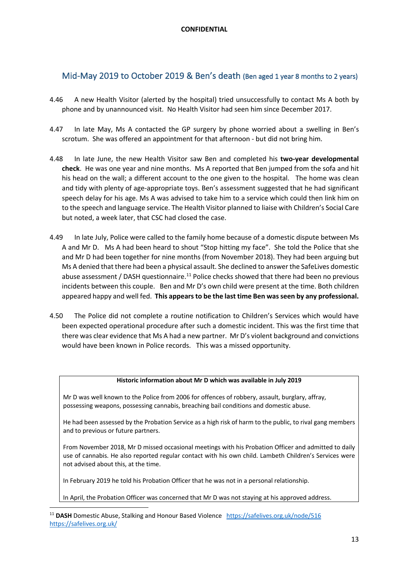## Mid-May 2019 to October 2019 & Ben's death (Ben aged 1 year 8 months to 2 years)

- 4.46 A new Health Visitor (alerted by the hospital) tried unsuccessfully to contact Ms A both by phone and by unannounced visit. No Health Visitor had seen him since December 2017.
- 4.47 In late May, Ms A contacted the GP surgery by phone worried about a swelling in Ben's scrotum. She was offered an appointment for that afternoon - but did not bring him.
- 4.48 In late June, the new Health Visitor saw Ben and completed his **two-year developmental check**. He was one year and nine months. Ms A reported that Ben jumped from the sofa and hit his head on the wall; a different account to the one given to the hospital. The home was clean and tidy with plenty of age-appropriate toys. Ben's assessment suggested that he had significant speech delay for his age. Ms A was advised to take him to a service which could then link him on to the speech and language service. The Health Visitor planned to liaise with Children's Social Care but noted, a week later, that CSC had closed the case.
- 4.49 In late July, Police were called to the family home because of a domestic dispute between Ms A and Mr D. Ms A had been heard to shout "Stop hitting my face". She told the Police that she and Mr D had been together for nine months (from November 2018). They had been arguing but Ms A denied that there had been a physical assault. She declined to answer the SafeLives domestic abuse assessment / DASH questionnaire.<sup>11</sup> Police checks showed that there had been no previous incidents between this couple. Ben and Mr D's own child were present at the time. Both children appeared happy and well fed. **This appears to be the last time Ben was seen by any professional.**
- 4.50 The Police did not complete a routine notification to Children's Services which would have been expected operational procedure after such a domestic incident. This was the first time that there was clear evidence that Ms A had a new partner. Mr D's violent background and convictions would have been known in Police records. This was a missed opportunity.

## **Historic information about Mr D which was available in July 2019**

Mr D was well known to the Police from 2006 for offences of robbery, assault, burglary, affray, possessing weapons, possessing cannabis, breaching bail conditions and domestic abuse.

He had been assessed by the Probation Service as a high risk of harm to the public, to rival gang members and to previous or future partners.

From November 2018, Mr D missed occasional meetings with his Probation Officer and admitted to daily use of cannabis. He also reported regular contact with his own child. Lambeth Children's Services were not advised about this, at the time.

In February 2019 he told his Probation Officer that he was not in a personal relationship.

In April, the Probation Officer was concerned that Mr D was not staying at his approved address.

<sup>&</sup>lt;sup>11</sup> DASH Domestic Abuse, Stalking and Honour Based Violence https://safelives.org.uk/node/516 https://safelives.org.uk/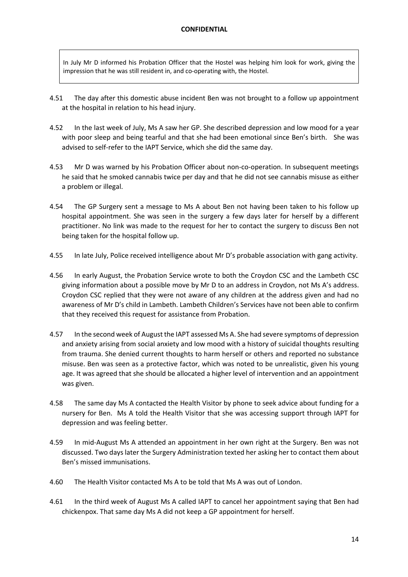In July Mr D informed his Probation Officer that the Hostel was helping him look for work, giving the impression that he was still resident in, and co-operating with, the Hostel.

- 4.51 The day after this domestic abuse incident Ben was not brought to a follow up appointment at the hospital in relation to his head injury.
- 4.52 In the last week of July, Ms A saw her GP. She described depression and low mood for a year with poor sleep and being tearful and that she had been emotional since Ben's birth. She was advised to self-refer to the IAPT Service, which she did the same day.
- 4.53 Mr D was warned by his Probation Officer about non-co-operation. In subsequent meetings he said that he smoked cannabis twice per day and that he did not see cannabis misuse as either a problem or illegal.
- 4.54 The GP Surgery sent a message to Ms A about Ben not having been taken to his follow up hospital appointment. She was seen in the surgery a few days later for herself by a different practitioner. No link was made to the request for her to contact the surgery to discuss Ben not being taken for the hospital follow up.
- 4.55 In late July, Police received intelligence about Mr D's probable association with gang activity.
- 4.56 In early August, the Probation Service wrote to both the Croydon CSC and the Lambeth CSC giving information about a possible move by Mr D to an address in Croydon, not Ms A's address. Croydon CSC replied that they were not aware of any children at the address given and had no awareness of Mr D's child in Lambeth. Lambeth Children's Services have not been able to confirm that they received this request for assistance from Probation.
- 4.57 In the second week of August the IAPT assessed Ms A. She had severe symptoms of depression and anxiety arising from social anxiety and low mood with a history of suicidal thoughts resulting from trauma. She denied current thoughts to harm herself or others and reported no substance misuse. Ben was seen as a protective factor, which was noted to be unrealistic, given his young age. It was agreed that she should be allocated a higher level of intervention and an appointment was given.
- 4.58 The same day Ms A contacted the Health Visitor by phone to seek advice about funding for a nursery for Ben. Ms A told the Health Visitor that she was accessing support through IAPT for depression and was feeling better.
- 4.59 In mid-August Ms A attended an appointment in her own right at the Surgery. Ben was not discussed. Two days later the Surgery Administration texted her asking her to contact them about Ben's missed immunisations.
- 4.60 The Health Visitor contacted Ms A to be told that Ms A was out of London.
- 4.61 In the third week of August Ms A called IAPT to cancel her appointment saying that Ben had chickenpox. That same day Ms A did not keep a GP appointment for herself.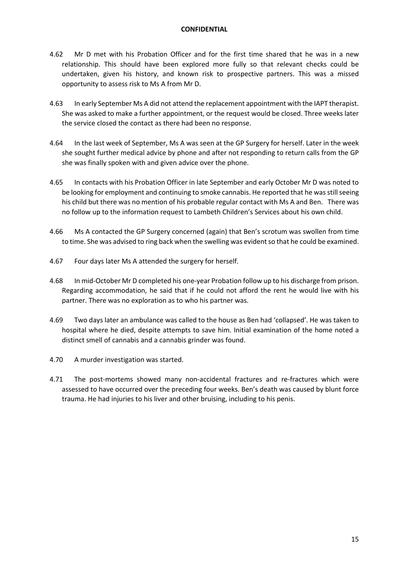- 4.62 Mr D met with his Probation Officer and for the first time shared that he was in a new relationship. This should have been explored more fully so that relevant checks could be undertaken, given his history, and known risk to prospective partners. This was a missed opportunity to assess risk to Ms A from Mr D.
- 4.63 In early September Ms A did not attend the replacement appointment with the IAPT therapist. She was asked to make a further appointment, or the request would be closed. Three weeks later the service closed the contact as there had been no response.
- 4.64 In the last week of September, Ms A was seen at the GP Surgery for herself. Later in the week she sought further medical advice by phone and after not responding to return calls from the GP she was finally spoken with and given advice over the phone.
- 4.65 In contacts with his Probation Officer in late September and early October Mr D was noted to be looking for employment and continuing to smoke cannabis. He reported that he was still seeing his child but there was no mention of his probable regular contact with Ms A and Ben. There was no follow up to the information request to Lambeth Children's Services about his own child.
- 4.66 Ms A contacted the GP Surgery concerned (again) that Ben's scrotum was swollen from time to time. She was advised to ring back when the swelling was evident so that he could be examined.
- 4.67 Four days later Ms A attended the surgery for herself.
- 4.68 In mid-October Mr D completed his one-year Probation follow up to his discharge from prison. Regarding accommodation, he said that if he could not afford the rent he would live with his partner. There was no exploration as to who his partner was.
- 4.69 Two days later an ambulance was called to the house as Ben had 'collapsed'. He was taken to hospital where he died, despite attempts to save him. Initial examination of the home noted a distinct smell of cannabis and a cannabis grinder was found.
- 4.70 A murder investigation was started.
- 4.71 The post-mortems showed many non-accidental fractures and re-fractures which were assessed to have occurred over the preceding four weeks. Ben's death was caused by blunt force trauma. He had injuries to his liver and other bruising, including to his penis.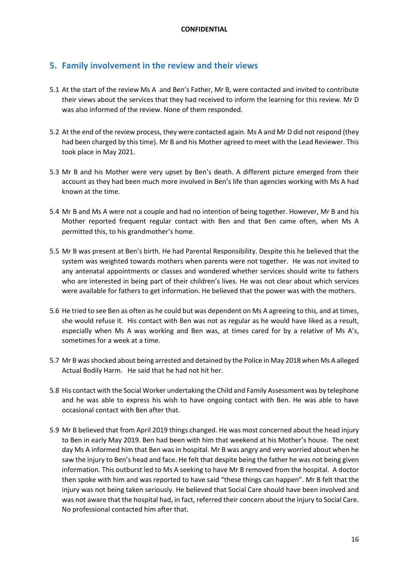## **5. Family involvement in the review and their views**

- 5.1 At the start of the review Ms A and Ben's Father, Mr B, were contacted and invited to contribute their views about the services that they had received to inform the learning for this review. Mr D was also informed of the review. None of them responded.
- 5.2 At the end of the review process, they were contacted again. Ms A and Mr D did not respond (they had been charged by this time). Mr B and his Mother agreed to meet with the Lead Reviewer. This took place in May 2021.
- 5.3 Mr B and his Mother were very upset by Ben's death. A different picture emerged from their account as they had been much more involved in Ben's life than agencies working with Ms A had known at the time.
- 5.4 Mr B and Ms A were not a couple and had no intention of being together. However, Mr B and his Mother reported frequent regular contact with Ben and that Ben came often, when Ms A permitted this, to his grandmother's home.
- 5.5 Mr B was present at Ben's birth. He had Parental Responsibility. Despite this he believed that the system was weighted towards mothers when parents were not together. He was not invited to any antenatal appointments or classes and wondered whether services should write to fathers who are interested in being part of their children's lives. He was not clear about which services were available for fathers to get information. He believed that the power was with the mothers.
- 5.6 He tried to see Ben as often as he could but was dependent on Ms A agreeing to this, and at times, she would refuse it. His contact with Ben was not as regular as he would have liked as a result, especially when Ms A was working and Ben was, at times cared for by a relative of Ms A's, sometimes for a week at a time.
- 5.7 Mr B was shocked about being arrested and detained by the Police in May 2018 when Ms A alleged Actual Bodily Harm. He said that he had not hit her.
- 5.8 His contact with the Social Worker undertaking the Child and Family Assessment was by telephone and he was able to express his wish to have ongoing contact with Ben. He was able to have occasional contact with Ben after that.
- 5.9 Mr B believed that from April 2019 things changed. He was most concerned about the head injury to Ben in early May 2019. Ben had been with him that weekend at his Mother's house. The next day Ms A informed him that Ben was in hospital. Mr B was angry and very worried about when he saw the injury to Ben's head and face. He felt that despite being the father he was not being given information. This outburst led to Ms A seeking to have Mr B removed from the hospital. A doctor then spoke with him and was reported to have said "these things can happen". Mr B felt that the injury was not being taken seriously. He believed that Social Care should have been involved and was not aware that the hospital had, in fact, referred their concern about the injury to Social Care. No professional contacted him after that.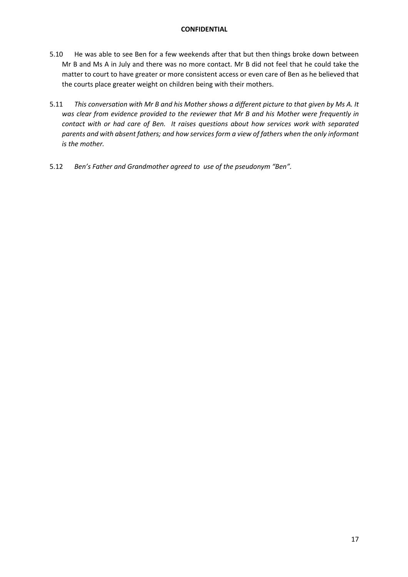- 5.10 He was able to see Ben for a few weekends after that but then things broke down between Mr B and Ms A in July and there was no more contact. Mr B did not feel that he could take the matter to court to have greater or more consistent access or even care of Ben as he believed that the courts place greater weight on children being with their mothers.
- 5.11 *This conversation with Mr B and his Mother shows a different picture to that given by Ms A. It was clear from evidence provided to the reviewer that Mr B and his Mother were frequently in contact with or had care of Ben. It raises questions about how services work with separated parents and with absent fathers; and how services form a view of fathers when the only informant is the mother.*
- 5.12 *Ben's Father and Grandmother agreed to use of the pseudonym "Ben".*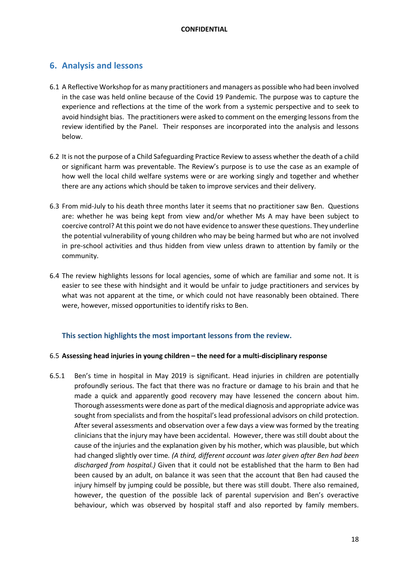## **6. Analysis and lessons**

- 6.1 A Reflective Workshop for as many practitioners and managers as possible who had been involved in the case was held online because of the Covid 19 Pandemic. The purpose was to capture the experience and reflections at the time of the work from a systemic perspective and to seek to avoid hindsight bias. The practitioners were asked to comment on the emerging lessons from the review identified by the Panel. Their responses are incorporated into the analysis and lessons below.
- 6.2 It is not the purpose of a Child Safeguarding Practice Review to assess whether the death of a child or significant harm was preventable. The Review's purpose is to use the case as an example of how well the local child welfare systems were or are working singly and together and whether there are any actions which should be taken to improve services and their delivery.
- 6.3 From mid-July to his death three months later it seems that no practitioner saw Ben. Questions are: whether he was being kept from view and/or whether Ms A may have been subject to coercive control? At this point we do not have evidence to answer these questions. They underline the potential vulnerability of young children who may be being harmed but who are not involved in pre-school activities and thus hidden from view unless drawn to attention by family or the community.
- 6.4 The review highlights lessons for local agencies, some of which are familiar and some not. It is easier to see these with hindsight and it would be unfair to judge practitioners and services by what was not apparent at the time, or which could not have reasonably been obtained. There were, however, missed opportunities to identify risks to Ben.

## **This section highlights the most important lessons from the review.**

## 6.5 **Assessing head injuries in young children – the need for a multi-disciplinary response**

6.5.1 Ben's time in hospital in May 2019 is significant. Head injuries in children are potentially profoundly serious. The fact that there was no fracture or damage to his brain and that he made a quick and apparently good recovery may have lessened the concern about him. Thorough assessments were done as part of the medical diagnosis and appropriate advice was sought from specialists and from the hospital's lead professional advisors on child protection. After several assessments and observation over a few days a view was formed by the treating clinicians that the injury may have been accidental. However, there was still doubt about the cause of the injuries and the explanation given by his mother, which was plausible, but which had changed slightly over time*. (A third, different account was later given after Ben had been discharged from hospital.)* Given that it could not be established that the harm to Ben had been caused by an adult, on balance it was seen that the account that Ben had caused the injury himself by jumping could be possible, but there was still doubt. There also remained, however, the question of the possible lack of parental supervision and Ben's overactive behaviour, which was observed by hospital staff and also reported by family members.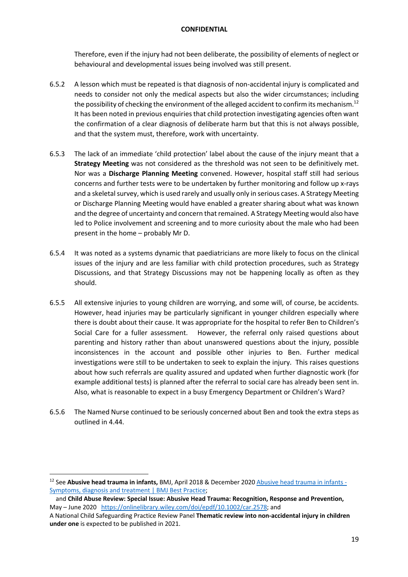Therefore, even if the injury had not been deliberate, the possibility of elements of neglect or behavioural and developmental issues being involved was still present.

- 6.5.2 A lesson which must be repeated is that diagnosis of non-accidental injury is complicated and needs to consider not only the medical aspects but also the wider circumstances; including the possibility of checking the environment of the alleged accident to confirm its mechanism. $^{12}$ It has been noted in previous enquiries that child protection investigating agencies often want the confirmation of a clear diagnosis of deliberate harm but that this is not always possible, and that the system must, therefore, work with uncertainty.
- 6.5.3 The lack of an immediate 'child protection' label about the cause of the injury meant that a **Strategy Meeting** was not considered as the threshold was not seen to be definitively met. Nor was a **Discharge Planning Meeting** convened. However, hospital staff still had serious concerns and further tests were to be undertaken by further monitoring and follow up x-rays and a skeletal survey, which is used rarely and usually only in serious cases. A Strategy Meeting or Discharge Planning Meeting would have enabled a greater sharing about what was known and the degree of uncertainty and concern that remained. A Strategy Meeting would also have led to Police involvement and screening and to more curiosity about the male who had been present in the home – probably Mr D.
- 6.5.4 It was noted as a systems dynamic that paediatricians are more likely to focus on the clinical issues of the injury and are less familiar with child protection procedures, such as Strategy Discussions, and that Strategy Discussions may not be happening locally as often as they should.
- 6.5.5 All extensive injuries to young children are worrying, and some will, of course, be accidents. However, head injuries may be particularly significant in younger children especially where there is doubt about their cause. It was appropriate for the hospital to refer Ben to Children's Social Care for a fuller assessment. However, the referral only raised questions about parenting and history rather than about unanswered questions about the injury, possible inconsistences in the account and possible other injuries to Ben. Further medical investigations were still to be undertaken to seek to explain the injury. This raises questions about how such referrals are quality assured and updated when further diagnostic work (for example additional tests) is planned after the referral to social care has already been sent in. Also, what is reasonable to expect in a busy Emergency Department or Children's Ward?
- 6.5.6 The Named Nurse continued to be seriously concerned about Ben and took the extra steps as outlined in 4.44.

<sup>12</sup> See **Abusive head trauma in infants,** BMJ, April 2018 & December 2020 Abusive head trauma in infants - Symptoms, diagnosis and treatment | BMJ Best Practice;

and **Child Abuse Review: Special Issue: Abusive Head Trauma: Recognition, Response and Prevention,**  May – June 2020 https://onlinelibrary.wiley.com/doi/epdf/10.1002/car.2578; and

A National Child Safeguarding Practice Review Panel **Thematic review into non-accidental injury in children under one** is expected to be published in 2021.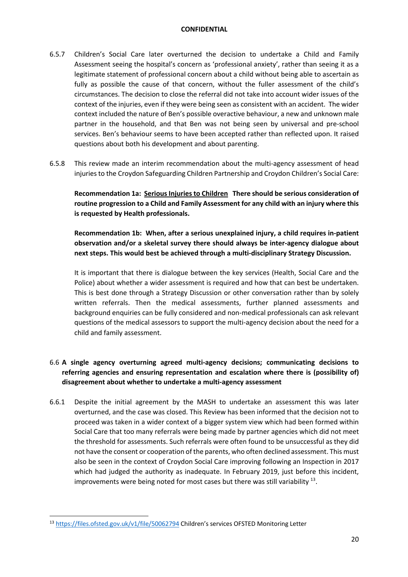- 6.5.7 Children's Social Care later overturned the decision to undertake a Child and Family Assessment seeing the hospital's concern as 'professional anxiety', rather than seeing it as a legitimate statement of professional concern about a child without being able to ascertain as fully as possible the cause of that concern, without the fuller assessment of the child's circumstances. The decision to close the referral did not take into account wider issues of the context of the injuries, even if they were being seen as consistent with an accident. The wider context included the nature of Ben's possible overactive behaviour, a new and unknown male partner in the household, and that Ben was not being seen by universal and pre-school services. Ben's behaviour seems to have been accepted rather than reflected upon. It raised questions about both his development and about parenting.
- 6.5.8 This review made an interim recommendation about the multi-agency assessment of head injuries to the Croydon Safeguarding Children Partnership and Croydon Children's Social Care:

Recommendation 1a: Serious Injuries to Children There should be serious consideration of **routine progression to a Child and Family Assessment for any child with an injury where this is requested by Health professionals.**

**Recommendation 1b: When, after a serious unexplained injury, a child requires in-patient observation and/or a skeletal survey there should always be inter-agency dialogue about next steps. This would best be achieved through a multi-disciplinary Strategy Discussion.** 

It is important that there is dialogue between the key services (Health, Social Care and the Police) about whether a wider assessment is required and how that can best be undertaken. This is best done through a Strategy Discussion or other conversation rather than by solely written referrals. Then the medical assessments, further planned assessments and background enquiries can be fully considered and non-medical professionals can ask relevant questions of the medical assessors to support the multi-agency decision about the need for a child and family assessment.

## 6.6 **A single agency overturning agreed multi-agency decisions; communicating decisions to referring agencies and ensuring representation and escalation where there is (possibility of) disagreement about whether to undertake a multi-agency assessment**

6.6.1 Despite the initial agreement by the MASH to undertake an assessment this was later overturned, and the case was closed. This Review has been informed that the decision not to proceed was taken in a wider context of a bigger system view which had been formed within Social Care that too many referrals were being made by partner agencies which did not meet the threshold for assessments. Such referrals were often found to be unsuccessful as they did not have the consent or cooperation of the parents, who often declined assessment. This must also be seen in the context of Croydon Social Care improving following an Inspection in 2017 which had judged the authority as inadequate. In February 2019, just before this incident, improvements were being noted for most cases but there was still variability  $^{13}$ .

<sup>13</sup> https://files.ofsted.gov.uk/v1/file/50062794 Children's services OFSTED Monitoring Letter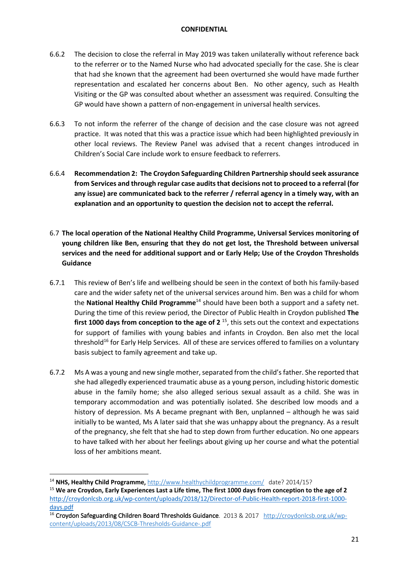- 6.6.2 The decision to close the referral in May 2019 was taken unilaterally without reference back to the referrer or to the Named Nurse who had advocated specially for the case. She is clear that had she known that the agreement had been overturned she would have made further representation and escalated her concerns about Ben. No other agency, such as Health Visiting or the GP was consulted about whether an assessment was required. Consulting the GP would have shown a pattern of non-engagement in universal health services.
- 6.6.3 To not inform the referrer of the change of decision and the case closure was not agreed practice. It was noted that this was a practice issue which had been highlighted previously in other local reviews. The Review Panel was advised that a recent changes introduced in Children's Social Care include work to ensure feedback to referrers.
- 6.6.4 **Recommendation 2: The Croydon Safeguarding Children Partnership should seek assurance from Services and through regular case audits that decisions not to proceed to a referral (for any issue) are communicated back to the referrer / referral agency in a timely way, with an explanation and an opportunity to question the decision not to accept the referral.**
- 6.7 **The local operation of the National Healthy Child Programme, Universal Services monitoring of young children like Ben, ensuring that they do not get lost, the Threshold between universal services and the need for additional support and or Early Help; Use of the Croydon Thresholds Guidance**
- 6.7.1 This review of Ben's life and wellbeing should be seen in the context of both his family-based care and the wider safety net of the universal services around him. Ben was a child for whom the **National Healthy Child Programme**<sup>14</sup> should have been both a support and a safety net. During the time of this review period, the Director of Public Health in Croydon published **The**  first 1000 days from conception to the age of 2<sup>15</sup>, this sets out the context and expectations for support of families with young babies and infants in Croydon. Ben also met the local threshold<sup>16</sup> for Early Help Services. All of these are services offered to families on a voluntary basis subject to family agreement and take up.
- 6.7.2 Ms A was a young and new single mother, separated from the child's father. She reported that she had allegedly experienced traumatic abuse as a young person, including historic domestic abuse in the family home; she also alleged serious sexual assault as a child. She was in temporary accommodation and was potentially isolated. She described low moods and a history of depression. Ms A became pregnant with Ben, unplanned – although he was said initially to be wanted, Ms A later said that she was unhappy about the pregnancy. As a result of the pregnancy, she felt that she had to step down from further education. No one appears to have talked with her about her feelings about giving up her course and what the potential loss of her ambitions meant.

<sup>14</sup> **NHS, Healthy Child Programme**, http://www.healthychildprogramme.com/ date? 2014/15?

<sup>15</sup> **We are Croydon, Early Experiences Last a Life time, The first 1000 days from conception to the age of 2** http://croydonlcsb.org.uk/wp-content/uploads/2018/12/Director-of-Public-Health-report-2018-first-1000 days.pdf

<sup>&</sup>lt;sup>16</sup> Croydon Safeguarding Children Board Thresholds Guidance. 2013 & 2017 http://croydonlcsb.org.uk/wpcontent/uploads/2013/08/CSCB-Thresholds-Guidance-.pdf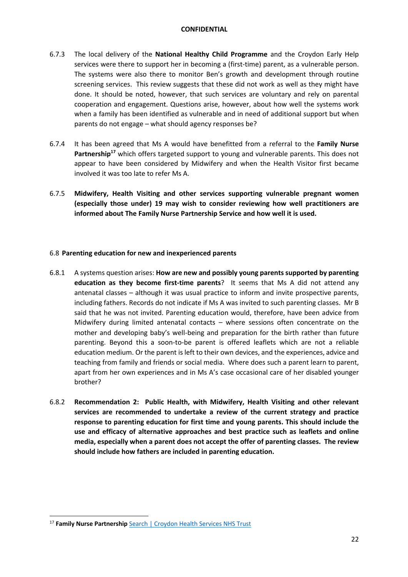- 6.7.3 The local delivery of the **National Healthy Child Programme** and the Croydon Early Help services were there to support her in becoming a (first-time) parent, as a vulnerable person. The systems were also there to monitor Ben's growth and development through routine screening services. This review suggests that these did not work as well as they might have done. It should be noted, however, that such services are voluntary and rely on parental cooperation and engagement. Questions arise, however, about how well the systems work when a family has been identified as vulnerable and in need of additional support but when parents do not engage – what should agency responses be?
- 6.7.4 It has been agreed that Ms A would have benefitted from a referral to the **Family Nurse**  Partnership<sup>17</sup> which offers targeted support to young and vulnerable parents. This does not appear to have been considered by Midwifery and when the Health Visitor first became involved it was too late to refer Ms A.
- 6.7.5 **Midwifery, Health Visiting and other services supporting vulnerable pregnant women (especially those under) 19 may wish to consider reviewing how well practitioners are informed about The Family Nurse Partnership Service and how well it is used.**

## 6.8 **Parenting education for new and inexperienced parents**

- 6.8.1 A systems question arises: **How are new and possibly young parents supported by parenting education as they become first-time parents**? It seems that Ms A did not attend any antenatal classes – although it was usual practice to inform and invite prospective parents, including fathers. Records do not indicate if Ms A was invited to such parenting classes. Mr B said that he was not invited. Parenting education would, therefore, have been advice from Midwifery during limited antenatal contacts – where sessions often concentrate on the mother and developing baby's well-being and preparation for the birth rather than future parenting. Beyond this a soon-to-be parent is offered leaflets which are not a reliable education medium. Or the parent is left to their own devices, and the experiences, advice and teaching from family and friends or social media. Where does such a parent learn to parent, apart from her own experiences and in Ms A's case occasional care of her disabled younger brother?
- 6.8.2 **Recommendation 2: Public Health, with Midwifery, Health Visiting and other relevant services are recommended to undertake a review of the current strategy and practice response to parenting education for first time and young parents. This should include the use and efficacy of alternative approaches and best practice such as leaflets and online media, especially when a parent does not accept the offer of parenting classes. The review should include how fathers are included in parenting education.**

<sup>&</sup>lt;sup>17</sup> Family Nurse Partnership Search | Croydon Health Services NHS Trust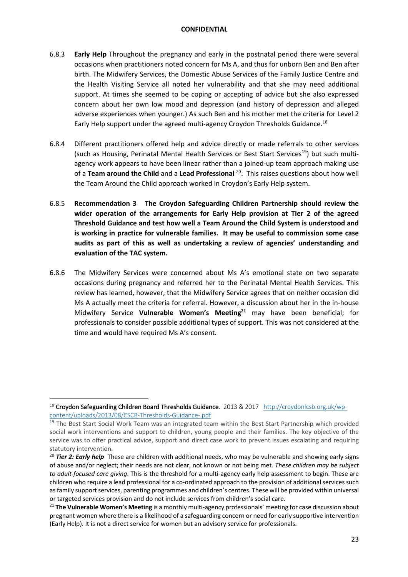- 6.8.3 **Early Help** Throughout the pregnancy and early in the postnatal period there were several occasions when practitioners noted concern for Ms A, and thus for unborn Ben and Ben after birth. The Midwifery Services, the Domestic Abuse Services of the Family Justice Centre and the Health Visiting Service all noted her vulnerability and that she may need additional support. At times she seemed to be coping or accepting of advice but she also expressed concern about her own low mood and depression (and history of depression and alleged adverse experiences when younger.) As such Ben and his mother met the criteria for Level 2 Early Help support under the agreed multi-agency Croydon Thresholds Guidance.<sup>18</sup>
- 6.8.4 Different practitioners offered help and advice directly or made referrals to other services (such as Housing, Perinatal Mental Health Services or Best Start Services<sup>19</sup>) but such multiagency work appears to have been linear rather than a joined-up team approach making use of a **Team around the Child** and a **Lead Professional** 20. This raises questions about how well the Team Around the Child approach worked in Croydon's Early Help system.
- 6.8.5 **Recommendation 3 The Croydon Safeguarding Children Partnership should review the wider operation of the arrangements for Early Help provision at Tier 2 of the agreed Threshold Guidance and test how well a Team Around the Child System is understood and is working in practice for vulnerable families. It may be useful to commission some case audits as part of this as well as undertaking a review of agencies' understanding and evaluation of the TAC system.**
- 6.8.6 The Midwifery Services were concerned about Ms A's emotional state on two separate occasions during pregnancy and referred her to the Perinatal Mental Health Services. This review has learned, however, that the Midwifery Service agrees that on neither occasion did Ms A actually meet the criteria for referral. However, a discussion about her in the in-house Midwifery Service **Vulnerable Women's Meeting21** may have been beneficial; for professionals to consider possible additional types of support. This was not considered at the time and would have required Ms A's consent.

<sup>&</sup>lt;sup>18</sup> Croydon Safeguarding Children Board Thresholds Guidance. 2013 & 2017 http://croydonlcsb.org.uk/wpcontent/uploads/2013/08/CSCB-Thresholds-Guidance-.pdf

<sup>&</sup>lt;sup>19</sup> The Best Start Social Work Team was an integrated team within the Best Start Partnership which provided social work interventions and support to children, young people and their families. The key objective of the service was to offer practical advice, support and direct case work to prevent issues escalating and requiring statutory intervention.

<sup>&</sup>lt;sup>20</sup> Tier 2: Early help These are children with additional needs, who may be vulnerable and showing early signs of abuse and/or neglect; their needs are not clear, not known or not being met. *These children may be subject to adult focused care giving*. This is the threshold for a multi-agency early help assessment to begin. These are children who require a lead professional for a co-ordinated approach to the provision of additional services such as family support services, parenting programmes and children's centres. These will be provided within universal or targeted services provision and do not include services from children's social care.

<sup>21</sup> **The Vulnerable Women's Meeting** is a monthly multi-agency professionals' meeting for case discussion about pregnant women where there is a likelihood of a safeguarding concern or need for early supportive intervention (Early Help). It is not a direct service for women but an advisory service for professionals.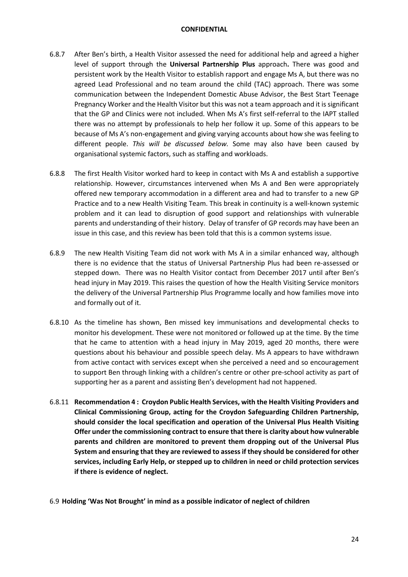- 6.8.7 After Ben's birth, a Health Visitor assessed the need for additional help and agreed a higher level of support through the **Universal Partnership Plus** approach**.** There was good and persistent work by the Health Visitor to establish rapport and engage Ms A, but there was no agreed Lead Professional and no team around the child (TAC) approach. There was some communication between the Independent Domestic Abuse Advisor, the Best Start Teenage Pregnancy Worker and the Health Visitor but this was not a team approach and it is significant that the GP and Clinics were not included. When Ms A's first self-referral to the IAPT stalled there was no attempt by professionals to help her follow it up. Some of this appears to be because of Ms A's non-engagement and giving varying accounts about how she was feeling to different people. *This will be discussed below.* Some may also have been caused by organisational systemic factors, such as staffing and workloads.
- 6.8.8 The first Health Visitor worked hard to keep in contact with Ms A and establish a supportive relationship. However, circumstances intervened when Ms A and Ben were appropriately offered new temporary accommodation in a different area and had to transfer to a new GP Practice and to a new Health Visiting Team. This break in continuity is a well-known systemic problem and it can lead to disruption of good support and relationships with vulnerable parents and understanding of their history. Delay of transfer of GP records may have been an issue in this case, and this review has been told that this is a common systems issue.
- 6.8.9 The new Health Visiting Team did not work with Ms A in a similar enhanced way, although there is no evidence that the status of Universal Partnership Plus had been re-assessed or stepped down. There was no Health Visitor contact from December 2017 until after Ben's head injury in May 2019. This raises the question of how the Health Visiting Service monitors the delivery of the Universal Partnership Plus Programme locally and how families move into and formally out of it.
- 6.8.10 As the timeline has shown, Ben missed key immunisations and developmental checks to monitor his development. These were not monitored or followed up at the time. By the time that he came to attention with a head injury in May 2019, aged 20 months, there were questions about his behaviour and possible speech delay. Ms A appears to have withdrawn from active contact with services except when she perceived a need and so encouragement to support Ben through linking with a children's centre or other pre-school activity as part of supporting her as a parent and assisting Ben's development had not happened.
- 6.8.11 **Recommendation 4 : Croydon Public Health Services, with the Health Visiting Providers and Clinical Commissioning Group, acting for the Croydon Safeguarding Children Partnership, should consider the local specification and operation of the Universal Plus Health Visiting Offer under the commissioning contract to ensure that there is clarity about how vulnerable parents and children are monitored to prevent them dropping out of the Universal Plus System and ensuring that they are reviewed to assess if they should be considered for other services, including Early Help, or stepped up to children in need or child protection services if there is evidence of neglect.**
- 6.9 **Holding 'Was Not Brought' in mind as a possible indicator of neglect of children**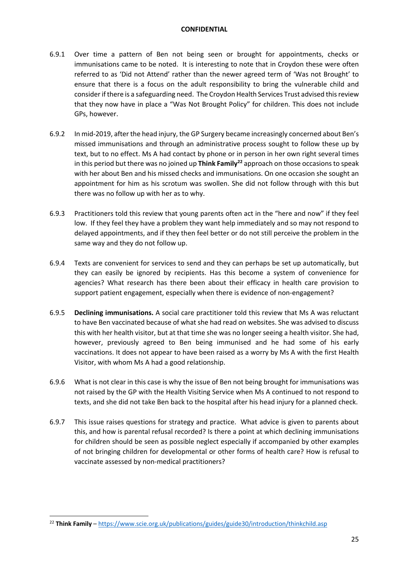- 6.9.1 Over time a pattern of Ben not being seen or brought for appointments, checks or immunisations came to be noted. It is interesting to note that in Croydon these were often referred to as 'Did not Attend' rather than the newer agreed term of 'Was not Brought' to ensure that there is a focus on the adult responsibility to bring the vulnerable child and consider if there is a safeguarding need. The Croydon Health Services Trust advised this review that they now have in place a "Was Not Brought Policy" for children. This does not include GPs, however.
- 6.9.2 In mid-2019, after the head injury, the GP Surgery became increasingly concerned about Ben's missed immunisations and through an administrative process sought to follow these up by text, but to no effect. Ms A had contact by phone or in person in her own right several times in this period but there was no joined up **Think Family**<sup>22</sup> approach on those occasions to speak with her about Ben and his missed checks and immunisations. On one occasion she sought an appointment for him as his scrotum was swollen. She did not follow through with this but there was no follow up with her as to why.
- 6.9.3 Practitioners told this review that young parents often act in the "here and now" if they feel low. If they feel they have a problem they want help immediately and so may not respond to delayed appointments, and if they then feel better or do not still perceive the problem in the same way and they do not follow up.
- 6.9.4 Texts are convenient for services to send and they can perhaps be set up automatically, but they can easily be ignored by recipients. Has this become a system of convenience for agencies? What research has there been about their efficacy in health care provision to support patient engagement, especially when there is evidence of non-engagement?
- 6.9.5 **Declining immunisations.** A social care practitioner told this review that Ms A was reluctant to have Ben vaccinated because of what she had read on websites. She was advised to discuss this with her health visitor, but at that time she was no longer seeing a health visitor. She had, however, previously agreed to Ben being immunised and he had some of his early vaccinations. It does not appear to have been raised as a worry by Ms A with the first Health Visitor, with whom Ms A had a good relationship.
- 6.9.6 What is not clear in this case is why the issue of Ben not being brought for immunisations was not raised by the GP with the Health Visiting Service when Ms A continued to not respond to texts, and she did not take Ben back to the hospital after his head injury for a planned check.
- 6.9.7 This issue raises questions for strategy and practice. What advice is given to parents about this, and how is parental refusal recorded? Is there a point at which declining immunisations for children should be seen as possible neglect especially if accompanied by other examples of not bringing children for developmental or other forms of health care? How is refusal to vaccinate assessed by non-medical practitioners?

<sup>&</sup>lt;sup>22</sup> Think Family – https://www.scie.org.uk/publications/guides/guide30/introduction/thinkchild.asp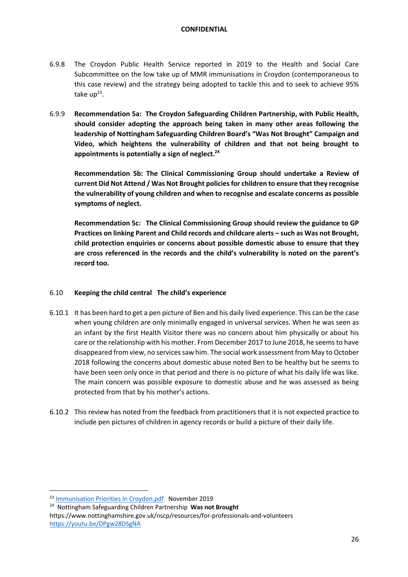- 6.9.8 The Croydon Public Health Service reported in 2019 to the Health and Social Care Subcommittee on the low take up of MMR immunisations in Croydon (contemporaneous to this case review) and the strategy being adopted to tackle this and to seek to achieve 95% take  $up^{23}$ .
- 6.9.9 **Recommendation 5a: The Croydon Safeguarding Children Partnership, with Public Health, should consider adopting the approach being taken in many other areas following the leadership of Nottingham Safeguarding Children Board's "Was Not Brought" Campaign and Video, which heightens the vulnerability of children and that not being brought to appointments is potentially a sign of neglect.24**

**Recommendation 5b: The Clinical Commissioning Group should undertake a Review of current Did Not Attend / Was Not Brought policies for children to ensure that they recognise the vulnerability of young children and when to recognise and escalate concerns as possible symptoms of neglect.** 

**Recommendation 5c: The Clinical Commissioning Group should review the guidance to GP Practices on linking Parent and Child records and childcare alerts – such as Was not Brought, child protection enquiries or concerns about possible domestic abuse to ensure that they are cross referenced in the records and the child's vulnerability is noted on the parent's record too.**

## 6.10 **Keeping the child central The child's experience**

- 6.10.1 It has been hard to get a pen picture of Ben and his daily lived experience. This can be the case when young children are only minimally engaged in universal services. When he was seen as an infant by the first Health Visitor there was no concern about him physically or about his care or the relationship with his mother. From December 2017 to June 2018, he seems to have disappeared from view, no services saw him. The social work assessment from May to October 2018 following the concerns about domestic abuse noted Ben to be healthy but he seems to have been seen only once in that period and there is no picture of what his daily life was like. The main concern was possible exposure to domestic abuse and he was assessed as being protected from that by his mother's actions.
- 6.10.2 This review has noted from the feedback from practitioners that it is not expected practice to include pen pictures of children in agency records or build a picture of their daily life.

<sup>&</sup>lt;sup>23</sup> Immunisation Priorities in Croydon.pdf November 2019<br><sup>24</sup> Nottingham Safeguarding Children Partnership **Was not Brought** 

https://www.nottinghamshire.gov.uk/nscp/resources/for-professionals-and-volunteers https://youtu.be/DPgw28DSgNA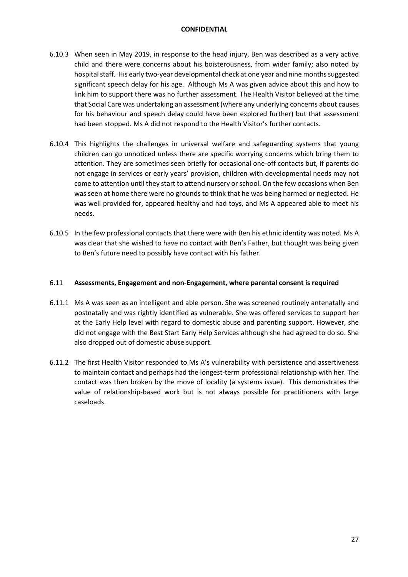- 6.10.3 When seen in May 2019, in response to the head injury, Ben was described as a very active child and there were concerns about his boisterousness, from wider family; also noted by hospital staff. His early two-year developmental check at one year and nine months suggested significant speech delay for his age. Although Ms A was given advice about this and how to link him to support there was no further assessment. The Health Visitor believed at the time that Social Care was undertaking an assessment (where any underlying concerns about causes for his behaviour and speech delay could have been explored further) but that assessment had been stopped. Ms A did not respond to the Health Visitor's further contacts.
- 6.10.4 This highlights the challenges in universal welfare and safeguarding systems that young children can go unnoticed unless there are specific worrying concerns which bring them to attention. They are sometimes seen briefly for occasional one-off contacts but, if parents do not engage in services or early years' provision, children with developmental needs may not come to attention until they start to attend nursery or school. On the few occasions when Ben was seen at home there were no grounds to think that he was being harmed or neglected. He was well provided for, appeared healthy and had toys, and Ms A appeared able to meet his needs.
- 6.10.5 In the few professional contacts that there were with Ben his ethnic identity was noted. Ms A was clear that she wished to have no contact with Ben's Father, but thought was being given to Ben's future need to possibly have contact with his father.

## 6.11 **Assessments, Engagement and non-Engagement, where parental consent is required**

- 6.11.1 Ms A was seen as an intelligent and able person. She was screened routinely antenatally and postnatally and was rightly identified as vulnerable. She was offered services to support her at the Early Help level with regard to domestic abuse and parenting support. However, she did not engage with the Best Start Early Help Services although she had agreed to do so. She also dropped out of domestic abuse support.
- 6.11.2 The first Health Visitor responded to Ms A's vulnerability with persistence and assertiveness to maintain contact and perhaps had the longest-term professional relationship with her. The contact was then broken by the move of locality (a systems issue). This demonstrates the value of relationship-based work but is not always possible for practitioners with large caseloads.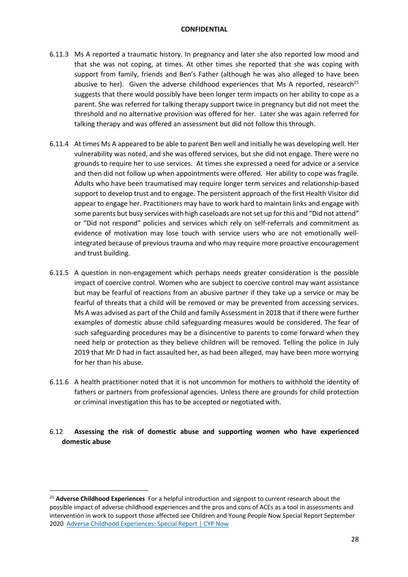- 6.11.3 Ms A reported a traumatic history. In pregnancy and later she also reported low mood and that she was not coping, at times. At other times she reported that she was coping with support from family, friends and Ben's Father (although he was also alleged to have been abusive to her). Given the adverse childhood experiences that Ms A reported, research<sup>25</sup> suggests that there would possibly have been longer term impacts on her ability to cope as a parent. She was referred for talking therapy support twice in pregnancy but did not meet the threshold and no alternative provision was offered for her. Later she was again referred for talking therapy and was offered an assessment but did not follow this through.
- 6.11.4 At times Ms A appeared to be able to parent Ben well and initially he was developing well. Her vulnerability was noted, and she was offered services, but she did not engage. There were no grounds to require her to use services. At times she expressed a need for advice or a service and then did not follow up when appointments were offered. Her ability to cope was fragile. Adults who have been traumatised may require longer term services and relationship-based support to develop trust and to engage. The persistent approach of the first Health Visitor did appear to engage her. Practitioners may have to work hard to maintain links and engage with some parents but busy services with high caseloads are not set up for this and "Did not attend" or "Did not respond" policies and services which rely on self-referrals and commitment as evidence of motivation may lose touch with service users who are not emotionally wellintegrated because of previous trauma and who may require more proactive encouragement and trust building.
- 6.11.5 A question in non-engagement which perhaps needs greater consideration is the possible impact of coercive control. Women who are subject to coercive control may want assistance but may be fearful of reactions from an abusive partner if they take up a service or may be fearful of threats that a child will be removed or may be prevented from accessing services. Ms A was advised as part of the Child and family Assessment in 2018 that if there were further examples of domestic abuse child safeguarding measures would be considered. The fear of such safeguarding procedures may be a disincentive to parents to come forward when they need help or protection as they believe children will be removed. Telling the police in July 2019 that Mr D had in fact assaulted her, as had been alleged, may have been more worrying for her than his abuse.
- 6.11.6 A health practitioner noted that it is not uncommon for mothers to withhold the identity of fathers or partners from professional agencies. Unless there are grounds for child protection or criminal investigation this has to be accepted or negotiated with.
- 6.12 **Assessing the risk of domestic abuse and supporting women who have experienced domestic abuse**

<sup>25</sup> **Adverse Childhood Experiences** For a helpful introduction and signpost to current research about the possible impact of adverse childhood experiences and the pros and cons of ACEs as a tool in assessments and intervention in work to support those affected see Children and Young People Now Special Report September 2020 Adverse Childhood Experiences: Special Report | CYP Now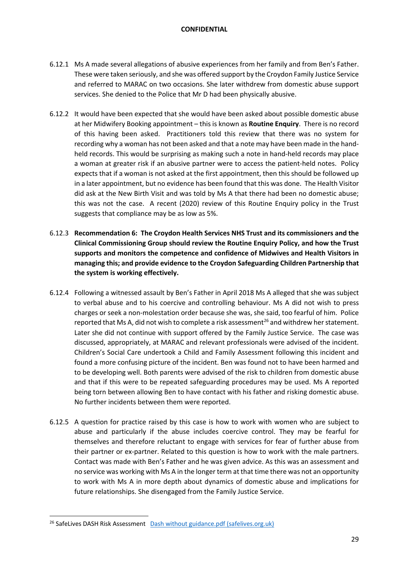- 6.12.1 Ms A made several allegations of abusive experiences from her family and from Ben's Father. These were taken seriously, and she was offered support by the Croydon Family Justice Service and referred to MARAC on two occasions. She later withdrew from domestic abuse support services. She denied to the Police that Mr D had been physically abusive.
- 6.12.2 It would have been expected that she would have been asked about possible domestic abuse at her Midwifery Booking appointment – this is known as **Routine Enquiry**. There is no record of this having been asked. Practitioners told this review that there was no system for recording why a woman has not been asked and that a note may have been made in the handheld records. This would be surprising as making such a note in hand-held records may place a woman at greater risk if an abusive partner were to access the patient-held notes. Policy expects that if a woman is not asked at the first appointment, then this should be followed up in a later appointment, but no evidence has been found that this was done. The Health Visitor did ask at the New Birth Visit and was told by Ms A that there had been no domestic abuse; this was not the case. A recent (2020) review of this Routine Enquiry policy in the Trust suggests that compliance may be as low as 5%.
- 6.12.3 **Recommendation 6: The Croydon Health Services NHS Trust and its commissioners and the Clinical Commissioning Group should review the Routine Enquiry Policy, and how the Trust supports and monitors the competence and confidence of Midwives and Health Visitors in managing this; and provide evidence to the Croydon Safeguarding Children Partnership that the system is working effectively.**
- 6.12.4 Following a witnessed assault by Ben's Father in April 2018 Ms A alleged that she was subject to verbal abuse and to his coercive and controlling behaviour. Ms A did not wish to press charges or seek a non-molestation order because she was, she said, too fearful of him. Police reported that Ms A, did not wish to complete a risk assessment<sup>26</sup> and withdrew her statement. Later she did not continue with support offered by the Family Justice Service. The case was discussed, appropriately, at MARAC and relevant professionals were advised of the incident. Children's Social Care undertook a Child and Family Assessment following this incident and found a more confusing picture of the incident. Ben was found not to have been harmed and to be developing well. Both parents were advised of the risk to children from domestic abuse and that if this were to be repeated safeguarding procedures may be used. Ms A reported being torn between allowing Ben to have contact with his father and risking domestic abuse. No further incidents between them were reported.
- 6.12.5 A question for practice raised by this case is how to work with women who are subject to abuse and particularly if the abuse includes coercive control. They may be fearful for themselves and therefore reluctant to engage with services for fear of further abuse from their partner or ex-partner. Related to this question is how to work with the male partners. Contact was made with Ben's Father and he was given advice. As this was an assessment and no service was working with Ms A in the longer term at that time there was not an opportunity to work with Ms A in more depth about dynamics of domestic abuse and implications for future relationships. She disengaged from the Family Justice Service.

<sup>&</sup>lt;sup>26</sup> SafeLives DASH Risk Assessment Dash without guidance.pdf (safelives.org.uk)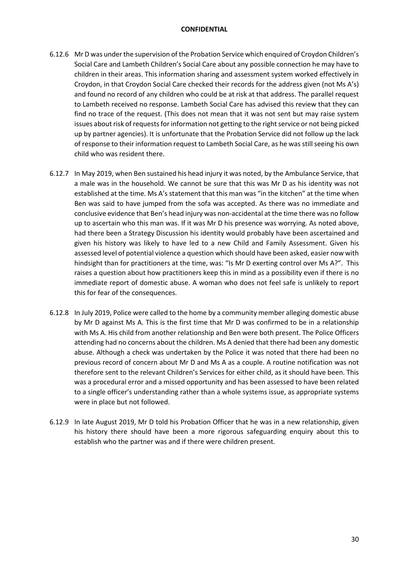- 6.12.6 Mr D was under the supervision of the Probation Service which enquired of Croydon Children's Social Care and Lambeth Children's Social Care about any possible connection he may have to children in their areas. This information sharing and assessment system worked effectively in Croydon, in that Croydon Social Care checked their records for the address given (not Ms A's) and found no record of any children who could be at risk at that address. The parallel request to Lambeth received no response. Lambeth Social Care has advised this review that they can find no trace of the request. (This does not mean that it was not sent but may raise system issues about risk of requests for information not getting to the right service or not being picked up by partner agencies). It is unfortunate that the Probation Service did not follow up the lack of response to their information request to Lambeth Social Care, as he was still seeing his own child who was resident there.
- 6.12.7 In May 2019, when Ben sustained his head injury it was noted, by the Ambulance Service, that a male was in the household. We cannot be sure that this was Mr D as his identity was not established at the time. Ms A's statement that this man was "in the kitchen" at the time when Ben was said to have jumped from the sofa was accepted. As there was no immediate and conclusive evidence that Ben's head injury was non-accidental at the time there was no follow up to ascertain who this man was. If it was Mr D his presence was worrying. As noted above, had there been a Strategy Discussion his identity would probably have been ascertained and given his history was likely to have led to a new Child and Family Assessment. Given his assessed level of potential violence a question which should have been asked, easier now with hindsight than for practitioners at the time, was: "Is Mr D exerting control over Ms A?". This raises a question about how practitioners keep this in mind as a possibility even if there is no immediate report of domestic abuse. A woman who does not feel safe is unlikely to report this for fear of the consequences.
- 6.12.8 In July 2019, Police were called to the home by a community member alleging domestic abuse by Mr D against Ms A. This is the first time that Mr D was confirmed to be in a relationship with Ms A. His child from another relationship and Ben were both present. The Police Officers attending had no concerns about the children. Ms A denied that there had been any domestic abuse. Although a check was undertaken by the Police it was noted that there had been no previous record of concern about Mr D and Ms A as a couple. A routine notification was not therefore sent to the relevant Children's Services for either child, as it should have been. This was a procedural error and a missed opportunity and has been assessed to have been related to a single officer's understanding rather than a whole systems issue, as appropriate systems were in place but not followed.
- 6.12.9 In late August 2019, Mr D told his Probation Officer that he was in a new relationship, given his history there should have been a more rigorous safeguarding enquiry about this to establish who the partner was and if there were children present.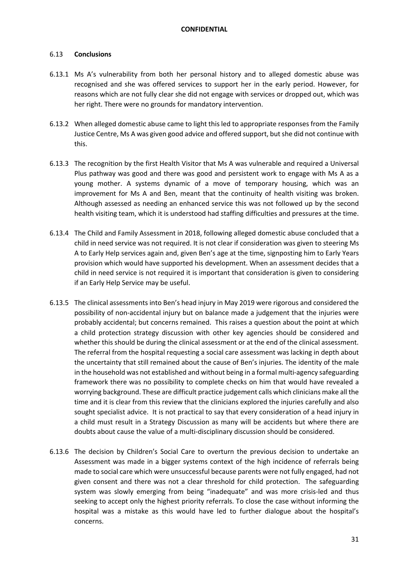## 6.13 **Conclusions**

- 6.13.1 Ms A's vulnerability from both her personal history and to alleged domestic abuse was recognised and she was offered services to support her in the early period. However, for reasons which are not fully clear she did not engage with services or dropped out, which was her right. There were no grounds for mandatory intervention.
- 6.13.2 When alleged domestic abuse came to light this led to appropriate responses from the Family Justice Centre, Ms A was given good advice and offered support, but she did not continue with this.
- 6.13.3 The recognition by the first Health Visitor that Ms A was vulnerable and required a Universal Plus pathway was good and there was good and persistent work to engage with Ms A as a young mother. A systems dynamic of a move of temporary housing, which was an improvement for Ms A and Ben, meant that the continuity of health visiting was broken. Although assessed as needing an enhanced service this was not followed up by the second health visiting team, which it is understood had staffing difficulties and pressures at the time.
- 6.13.4 The Child and Family Assessment in 2018, following alleged domestic abuse concluded that a child in need service was not required. It is not clear if consideration was given to steering Ms A to Early Help services again and, given Ben's age at the time, signposting him to Early Years provision which would have supported his development. When an assessment decides that a child in need service is not required it is important that consideration is given to considering if an Early Help Service may be useful.
- 6.13.5 The clinical assessments into Ben's head injury in May 2019 were rigorous and considered the possibility of non-accidental injury but on balance made a judgement that the injuries were probably accidental; but concerns remained. This raises a question about the point at which a child protection strategy discussion with other key agencies should be considered and whether this should be during the clinical assessment or at the end of the clinical assessment. The referral from the hospital requesting a social care assessment was lacking in depth about the uncertainty that still remained about the cause of Ben's injuries. The identity of the male in the household was not established and without being in a formal multi-agency safeguarding framework there was no possibility to complete checks on him that would have revealed a worrying background. These are difficult practice judgement calls which clinicians make all the time and it is clear from this review that the clinicians explored the injuries carefully and also sought specialist advice. It is not practical to say that every consideration of a head injury in a child must result in a Strategy Discussion as many will be accidents but where there are doubts about cause the value of a multi-disciplinary discussion should be considered.
- 6.13.6 The decision by Children's Social Care to overturn the previous decision to undertake an Assessment was made in a bigger systems context of the high incidence of referrals being made to social care which were unsuccessful because parents were not fully engaged, had not given consent and there was not a clear threshold for child protection. The safeguarding system was slowly emerging from being "inadequate" and was more crisis-led and thus seeking to accept only the highest priority referrals. To close the case without informing the hospital was a mistake as this would have led to further dialogue about the hospital's concerns.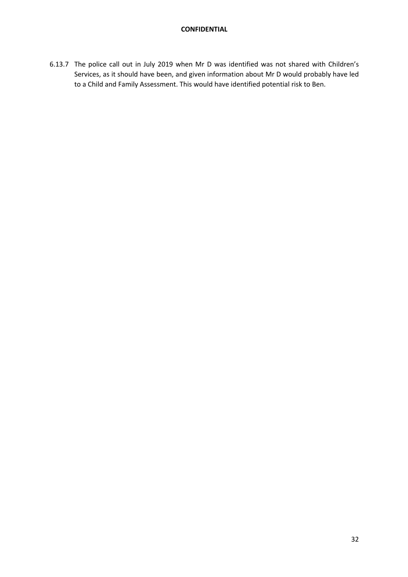6.13.7 The police call out in July 2019 when Mr D was identified was not shared with Children's Services, as it should have been, and given information about Mr D would probably have led to a Child and Family Assessment. This would have identified potential risk to Ben.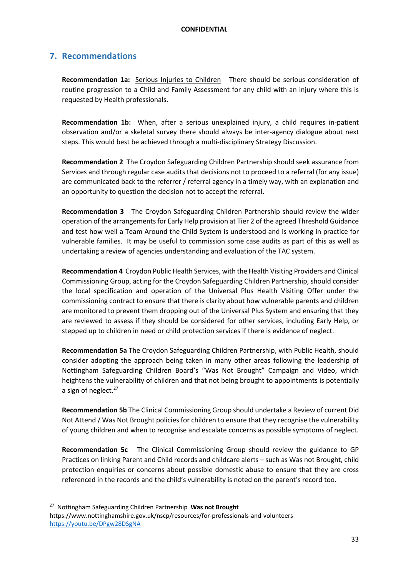## **7. Recommendations**

**Recommendation 1a:** Serious Injuries to Children There should be serious consideration of routine progression to a Child and Family Assessment for any child with an injury where this is requested by Health professionals.

**Recommendation 1b:** When, after a serious unexplained injury, a child requires in-patient observation and/or a skeletal survey there should always be inter-agency dialogue about next steps. This would best be achieved through a multi-disciplinary Strategy Discussion.

**Recommendation 2** The Croydon Safeguarding Children Partnership should seek assurance from Services and through regular case audits that decisions not to proceed to a referral (for any issue) are communicated back to the referrer / referral agency in a timely way, with an explanation and an opportunity to question the decision not to accept the referral**.** 

**Recommendation 3** The Croydon Safeguarding Children Partnership should review the wider operation of the arrangements for Early Help provision at Tier 2 of the agreed Threshold Guidance and test how well a Team Around the Child System is understood and is working in practice for vulnerable families. It may be useful to commission some case audits as part of this as well as undertaking a review of agencies understanding and evaluation of the TAC system.

**Recommendation 4** Croydon Public Health Services, with the Health Visiting Providers and Clinical Commissioning Group, acting for the Croydon Safeguarding Children Partnership, should consider the local specification and operation of the Universal Plus Health Visiting Offer under the commissioning contract to ensure that there is clarity about how vulnerable parents and children are monitored to prevent them dropping out of the Universal Plus System and ensuring that they are reviewed to assess if they should be considered for other services, including Early Help, or stepped up to children in need or child protection services if there is evidence of neglect.

**Recommendation 5a** The Croydon Safeguarding Children Partnership, with Public Health, should consider adopting the approach being taken in many other areas following the leadership of Nottingham Safeguarding Children Board's "Was Not Brought" Campaign and Video, which heightens the vulnerability of children and that not being brought to appointments is potentially a sign of neglect. $27$ 

**Recommendation 5b** The Clinical Commissioning Group should undertake a Review of current Did Not Attend / Was Not Brought policies for children to ensure that they recognise the vulnerability of young children and when to recognise and escalate concerns as possible symptoms of neglect.

**Recommendation 5c** The Clinical Commissioning Group should review the guidance to GP Practices on linking Parent and Child records and childcare alerts – such as Was not Brought, child protection enquiries or concerns about possible domestic abuse to ensure that they are cross referenced in the records and the child's vulnerability is noted on the parent's record too.

<sup>27</sup> Nottingham Safeguarding Children Partnership **Was not Brought** https://www.nottinghamshire.gov.uk/nscp/resources/for-professionals-and-volunteers https://youtu.be/DPgw28DSgNA